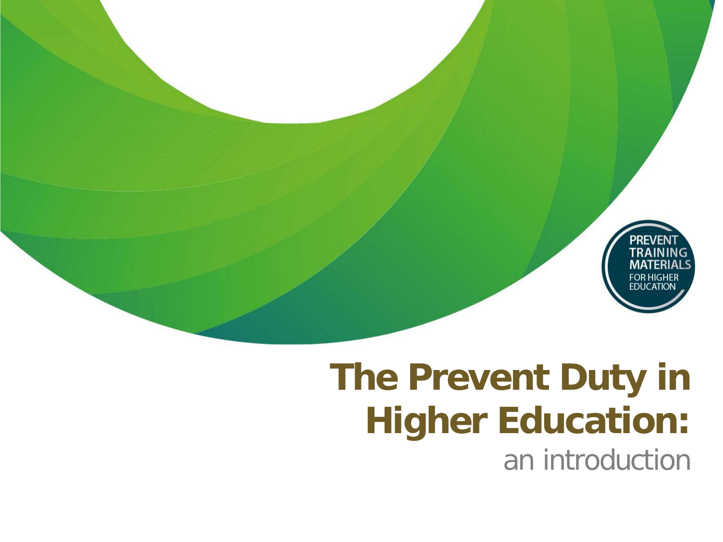

## **The Prevent Duty in Higher Education:**

an introduction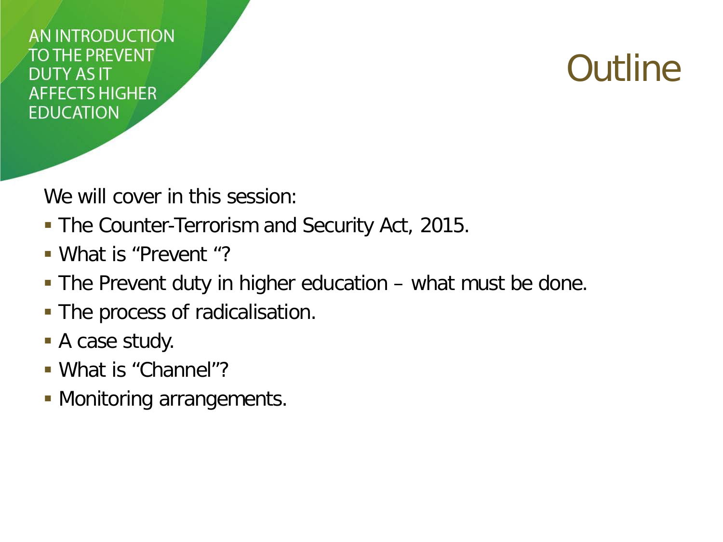**Outline** 

We will cover in this session:

- The Counter-Terrorism and Security Act, 2015.
- What is "Prevent "?
- The Prevent duty in higher education what must be done.
- **The process of radicalisation.**
- A case study.
- What is "Channel"?
- **Monitoring arrangements.**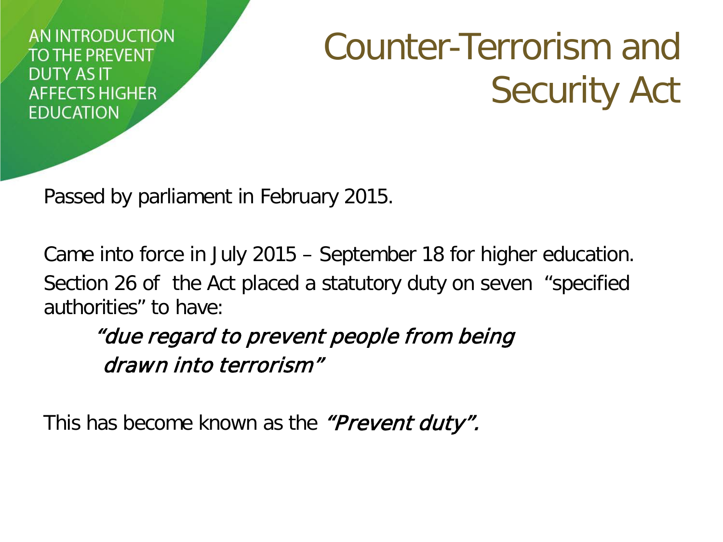# Counter-Terrorism and Security Act

Passed by parliament in February 2015.

Came into force in July 2015 – September 18 for higher education. Section 26 of the Act placed a statutory duty on seven "specified authorities" to have:

 "due regard to prevent people from being drawn into terrorism"

This has become known as the "Prevent duty".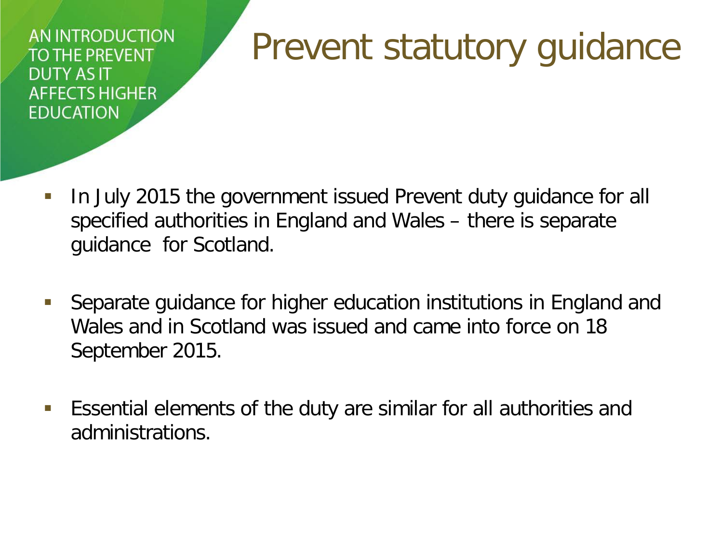#### Prevent statutory guidance

- **IF In July 2015 the government issued Prevent duty guidance for all** specified authorities in England and Wales – there is separate guidance for Scotland.
- Separate guidance for higher education institutions in England and Wales and in Scotland was issued and came into force on 18 September 2015.
- Essential elements of the duty are similar for all authorities and administrations.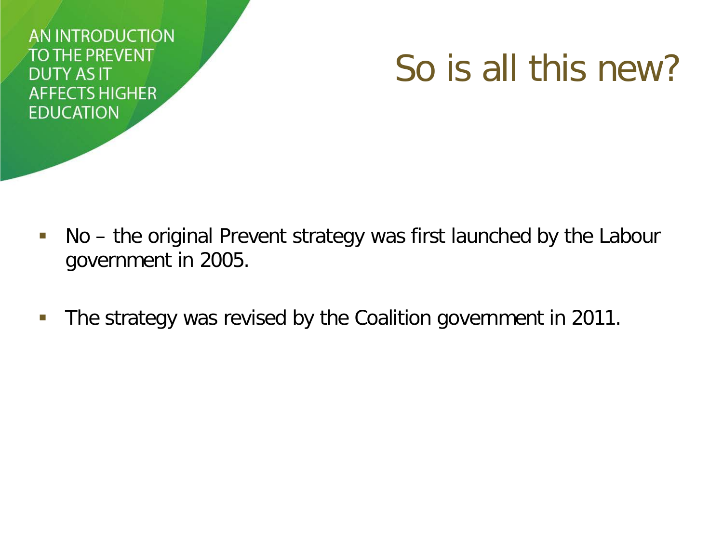#### So is all this new?

- No the original Prevent strategy was first launched by the Labour government in 2005.
- **The strategy was revised by the Coalition government in 2011.**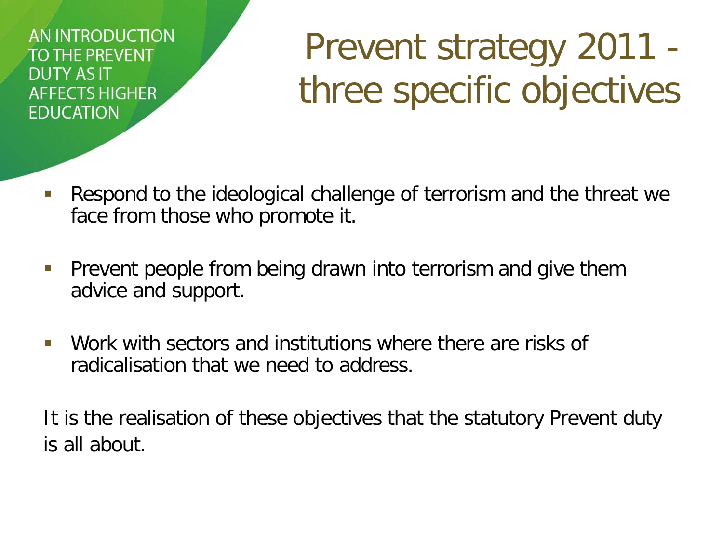## Prevent strategy 2011 three specific objectives

- Respond to the ideological challenge of terrorism and the threat we face from those who promote it.
- **Prevent people from being drawn into terrorism and give them** advice and support.
- Work with sectors and institutions where there are risks of radicalisation that we need to address.

It is the realisation of these objectives that the statutory Prevent duty is all about.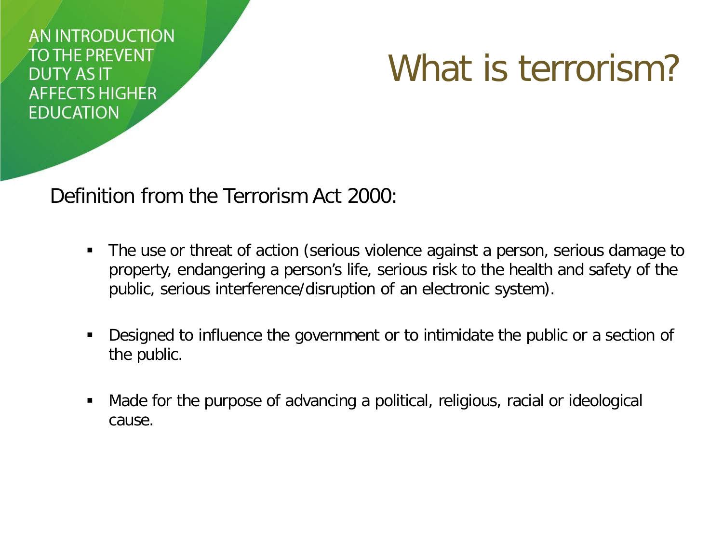## What is terrorism?

Definition from the Terrorism Act 2000:

- The use or threat of action (serious violence against a person, serious damage to property, endangering a person's life, serious risk to the health and safety of the public, serious interference/disruption of an electronic system).
- Designed to influence the government or to intimidate the public or a section of the public.
- Made for the purpose of advancing a political, religious, racial or ideological cause.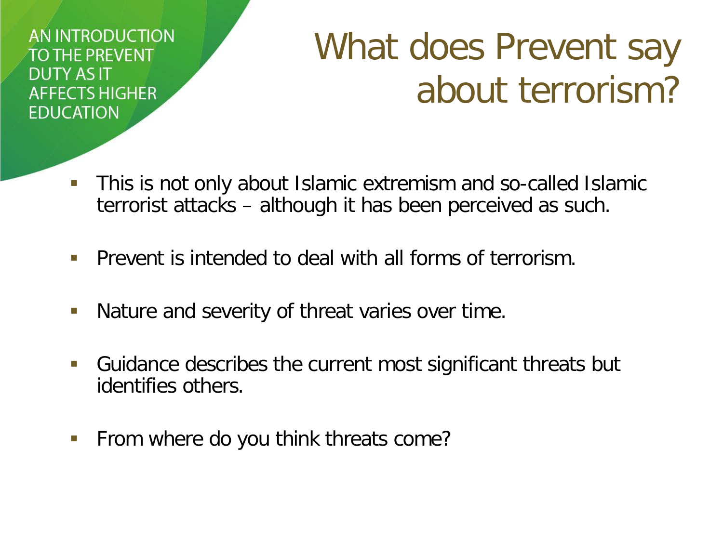#### What does Prevent say about terrorism?

- This is not only about Islamic extremism and so-called Islamic terrorist attacks – although it has been perceived as such.
- **Prevent is intended to deal with all forms of terrorism.**
- **Nature and severity of threat varies over time.**
- Guidance describes the current most significant threats but identifies others.
- From where do you think threats come?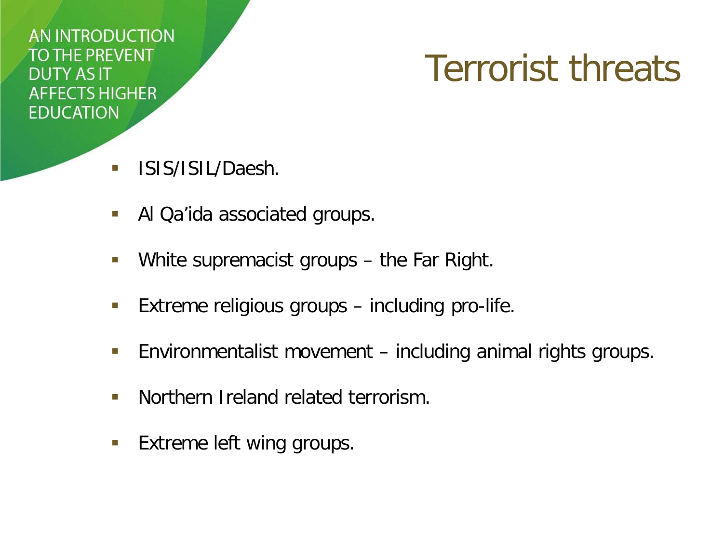#### Terrorist threats

- **ISIS/ISIL/Daesh.**
- **Al Qa'ida associated groups.**
- **White supremacist groups the Far Right.**
- **Extreme religious groups including pro-life.**
- **Environmentalist movement including animal rights groups.**
- **Northern Ireland related terrorism.**
- **Extreme left wing groups.**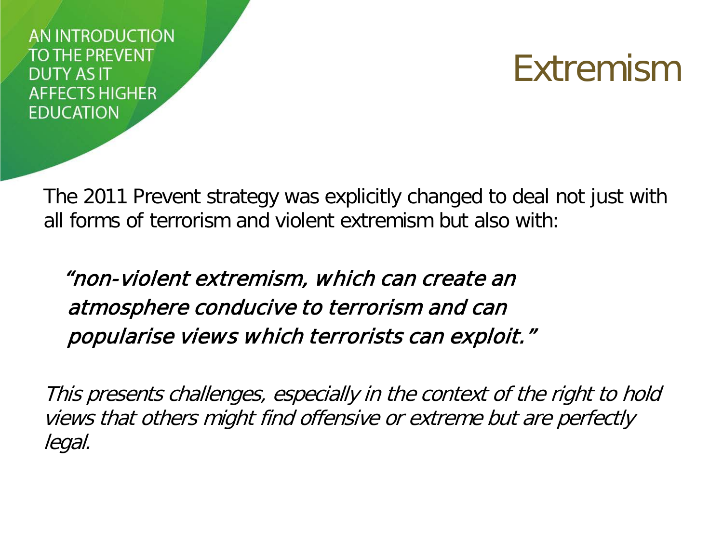#### Extremism

The 2011 Prevent strategy was explicitly changed to deal not just with all forms of terrorism and violent extremism but also with:

 "non-violent extremism, which can create an atmosphere conducive to terrorism and can popularise views which terrorists can exploit."

This presents challenges, especially in the context of the right to hold views that others might find offensive or extreme but are perfectly legal.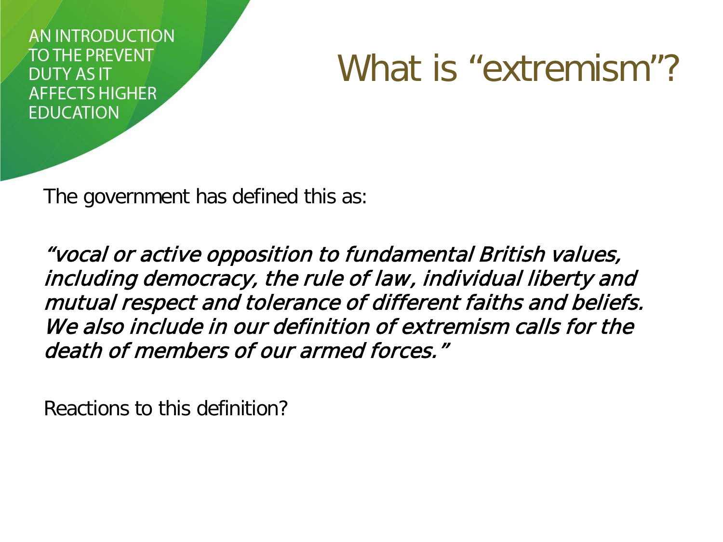#### What is "extremism"?

The government has defined this as:

"vocal or active opposition to fundamental British values, including democracy, the rule of law, individual liberty and mutual respect and tolerance of different faiths and beliefs. We also include in our definition of extremism calls for the death of members of our armed forces."

Reactions to this definition?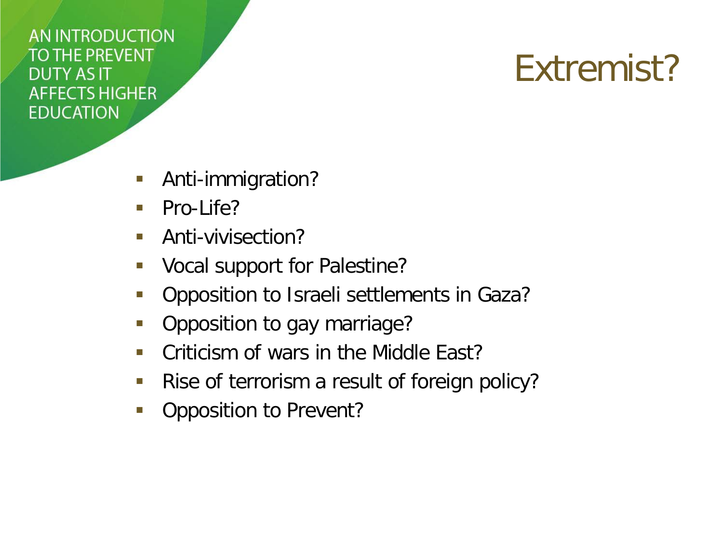#### Extremist?

- **Anti-immigration?**
- $\blacksquare$  Pro-Life?
- **Anti-vivisection?**
- **Vocal support for Palestine?**
- **Opposition to Israeli settlements in Gaza?**
- **Opposition to gay marriage?**
- **Criticism of wars in the Middle East?**
- **Rise of terrorism a result of foreign policy?**
- **-** Opposition to Prevent?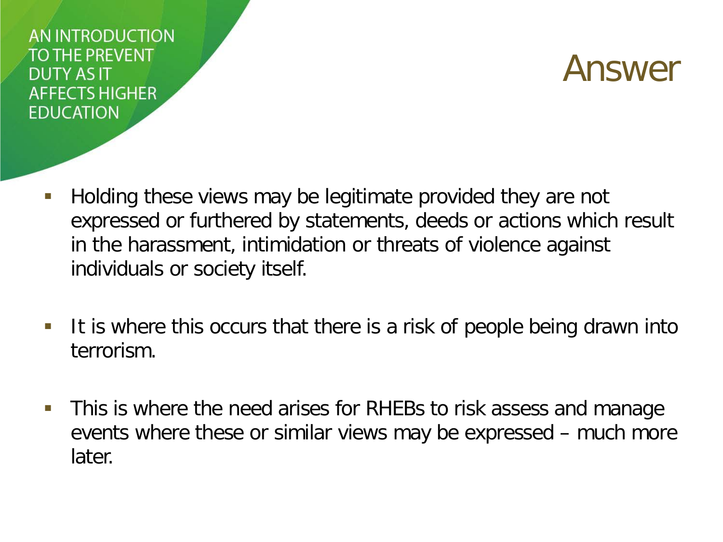#### Answer

- **Holding these views may be legitimate provided they are not** expressed or furthered by statements, deeds or actions which result in the harassment, intimidation or threats of violence against individuals or society itself.
- It is where this occurs that there is a risk of people being drawn into terrorism.
- **This is where the need arises for RHEBs to risk assess and manage** events where these or similar views may be expressed – much more later.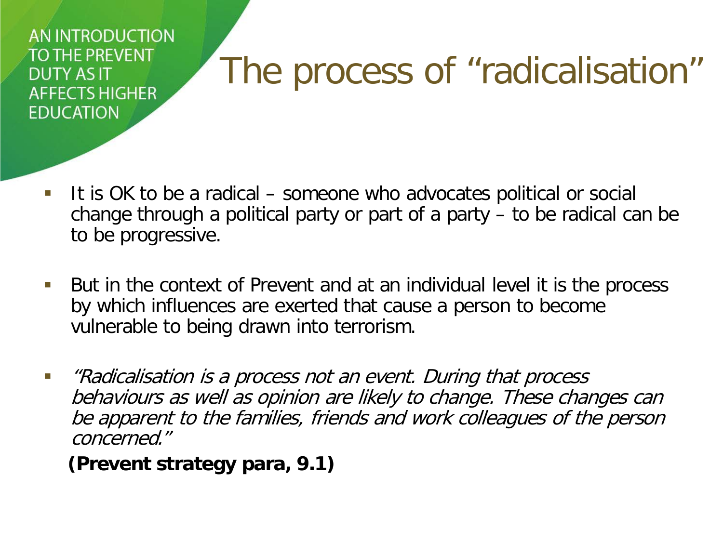## The process of "radicalisation"

- It is OK to be a radical someone who advocates political or social change through a political party or part of a party – to be radical can be to be progressive.
- But in the context of Prevent and at an individual level it is the process by which influences are exerted that cause a person to become vulnerable to being drawn into terrorism.
- "Radicalisation is a process not an event. During that process behaviours as well as opinion are likely to change. These changes can be apparent to the families, friends and work colleagues of the person concerned."
	- **(Prevent strategy para, 9.1)**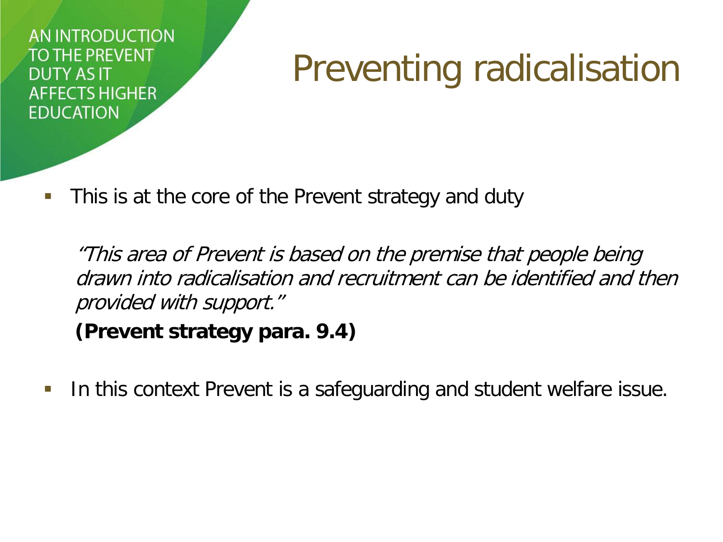## Preventing radicalisation

**This is at the core of the Prevent strategy and duty** 

"This area of Prevent is based on the premise that people being drawn into radicalisation and recruitment can be identified and then provided with support."

**(Prevent strategy para. 9.4)** 

**IF In this context Prevent is a safeguarding and student welfare issue.**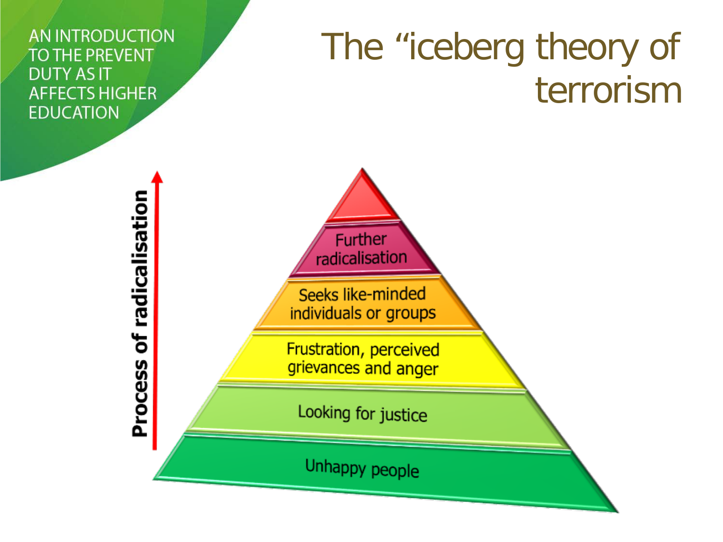## The "iceberg theory of terrorism

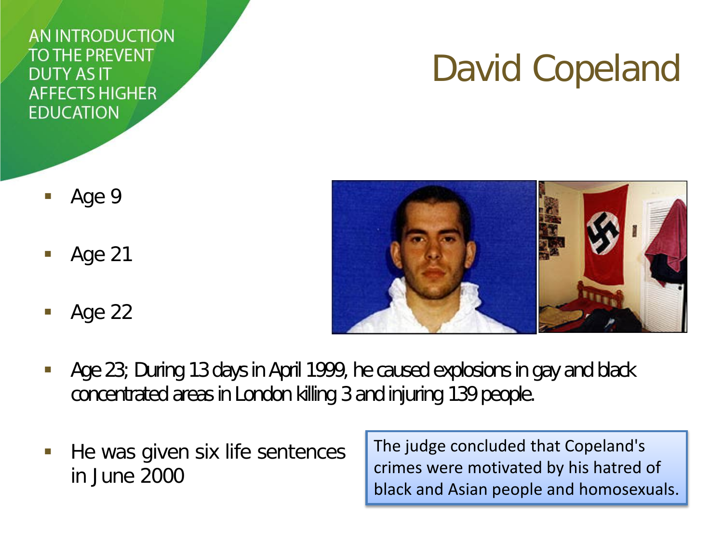## David Copeland

- Age 9
- Age 21
- Age 22



- Age 23; During 13 days in April 1999, he caused explosions in gay and black concentrated areas in London killing 3 and injuring 139 people.
- He was given six life sentences in June 2000

The judge concluded that Copeland's crimes were motivated by his hatred of black and Asian people and homosexuals.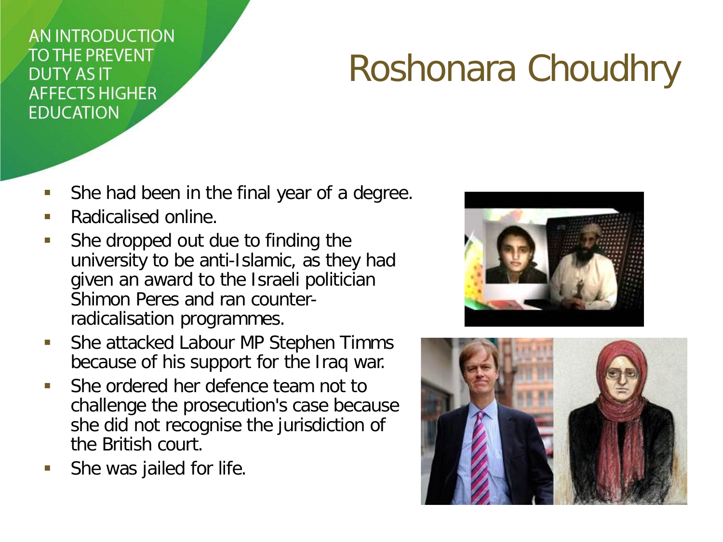## Roshonara Choudhry

- **She had been in the final year of a degree.**
- Radicalised online.
- She dropped out due to finding the university to be anti-Islamic, as they had given an award to the Israeli politician Shimon Peres and ran counterradicalisation programmes.
- **She attacked Labour MP Stephen Timms** because of his support for the Iraq war.
- She ordered her defence team not to challenge the prosecution's case because she did not recognise the jurisdiction of the British court.
- She was jailed for life.



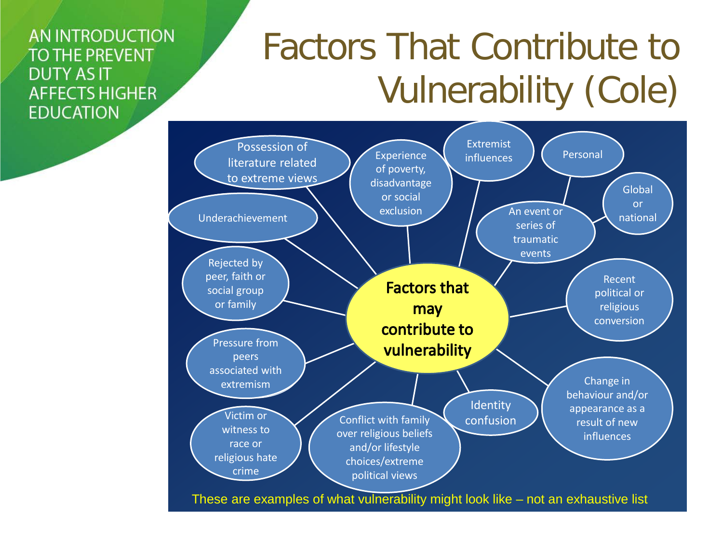## Factors That Contribute to Vulnerability (Cole)

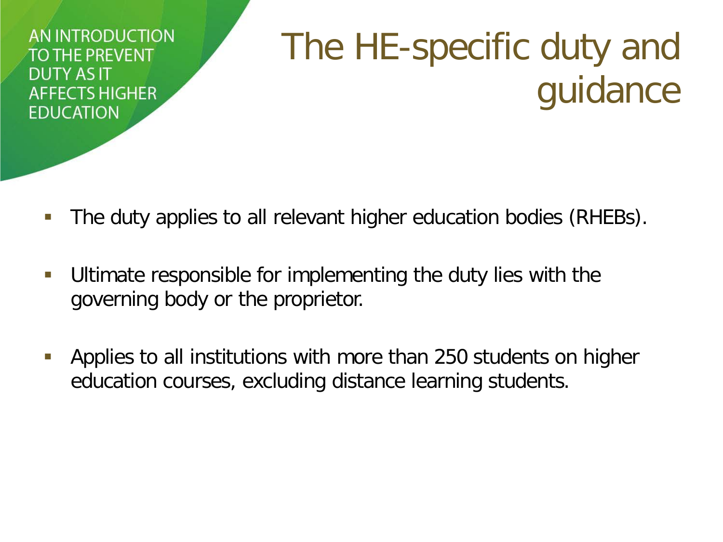## The HE-specific duty and guidance

- The duty applies to all relevant higher education bodies (RHEBs).
- Ultimate responsible for implementing the duty lies with the governing body or the proprietor.
- Applies to all institutions with more than 250 students on higher education courses, excluding distance learning students.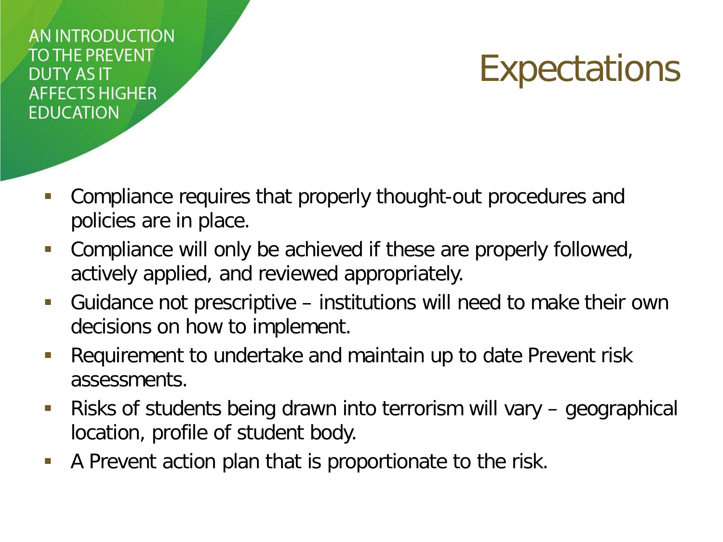#### **Expectations**

- Compliance requires that properly thought-out procedures and policies are in place.
- Compliance will only be achieved if these are properly followed, actively applied, and reviewed appropriately.
- Guidance not prescriptive institutions will need to make their own decisions on how to implement.
- Requirement to undertake and maintain up to date Prevent risk assessments.
- Risks of students being drawn into terrorism will vary geographical location, profile of student body.
- A Prevent action plan that is proportionate to the risk.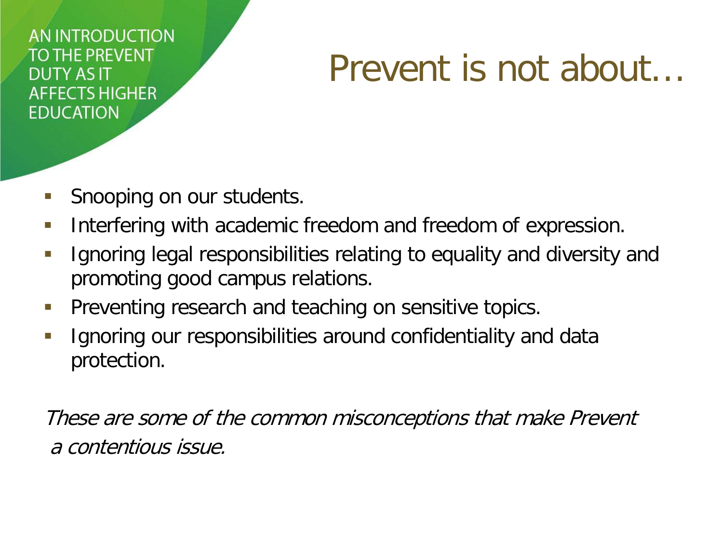#### Prevent is not about…

- **Snooping on our students.**
- **Interfering with academic freedom and freedom of expression.**
- **If all interponsibilities relating to equality and diversity and intervally** and interval **Figure Figure Figure Figure Figure Figure Figure Figure Figure Figure Figure Figure Figure Figure Figu** promoting good campus relations.
- **Preventing research and teaching on sensitive topics.**
- Ignoring our responsibilities around confidentiality and data protection.

These are some of the common misconceptions that make Prevent a contentious issue.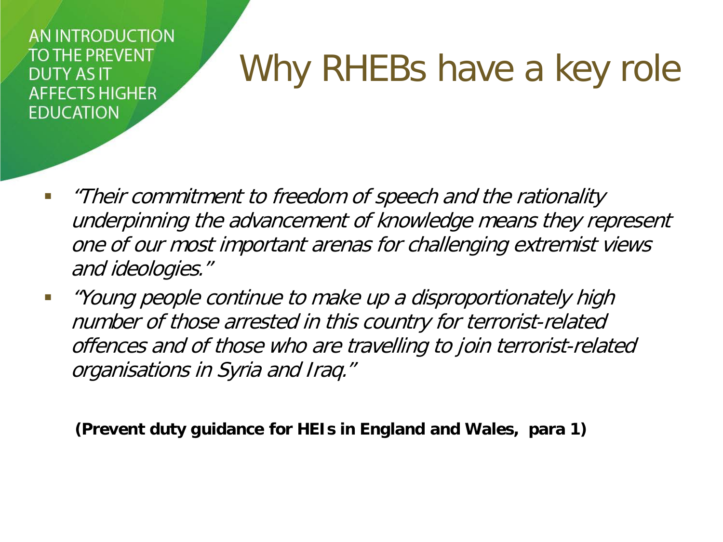## Why RHEBs have a key role

- "Their commitment to freedom of speech and the rationality underpinning the advancement of knowledge means they represent one of our most important arenas for challenging extremist views and ideologies."
- "Young people continue to make up a disproportionately high number of those arrested in this country for terrorist-related offences and of those who are travelling to join terrorist-related organisations in Syria and Iraq."

**(Prevent duty guidance for HEIs in England and Wales, para 1)**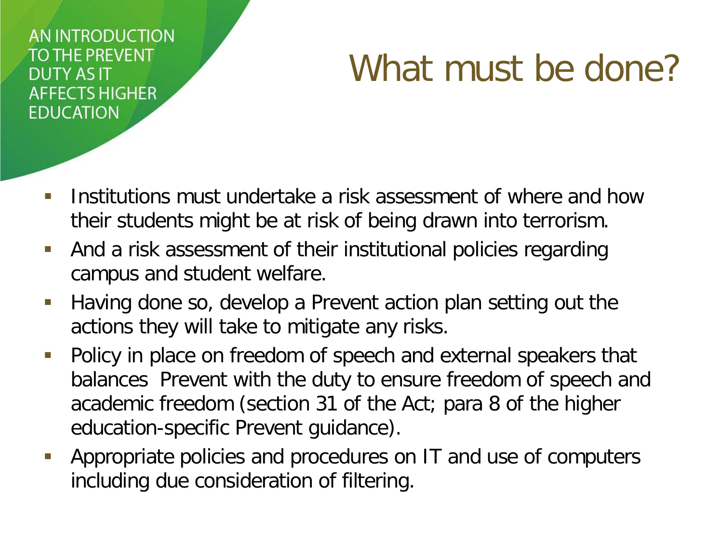## What must be done?

- **Institutions must undertake a risk assessment of where and how** their students might be at risk of being drawn into terrorism.
- And a risk assessment of their institutional policies regarding campus and student welfare.
- **Having done so, develop a Prevent action plan setting out the** actions they will take to mitigate any risks.
- **Policy in place on freedom of speech and external speakers that** balances Prevent with the duty to ensure freedom of speech and academic freedom (section 31 of the Act; para 8 of the higher education-specific Prevent guidance).
- Appropriate policies and procedures on IT and use of computers including due consideration of filtering.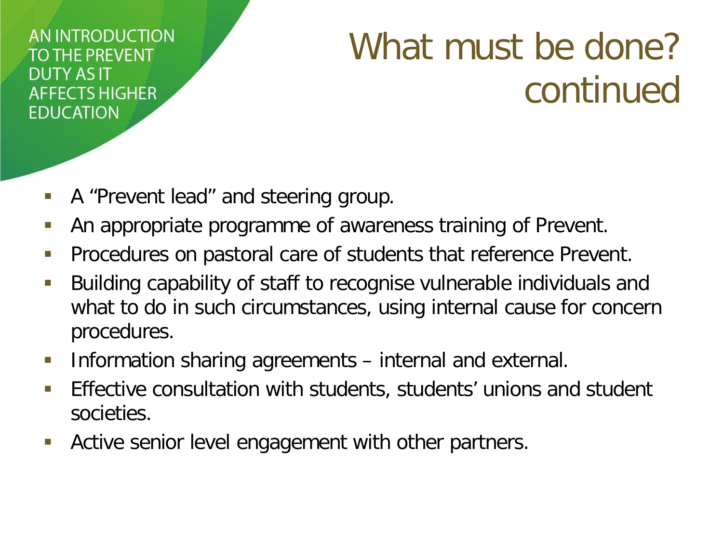## What must be done? continued

- A "Prevent lead" and steering group.
- An appropriate programme of awareness training of Prevent.
- **Procedures on pastoral care of students that reference Prevent.**
- Building capability of staff to recognise vulnerable individuals and what to do in such circumstances, using internal cause for concern procedures.
- **Information sharing agreements internal and external.**
- Effective consultation with students, students' unions and student societies.
- **Active senior level engagement with other partners.**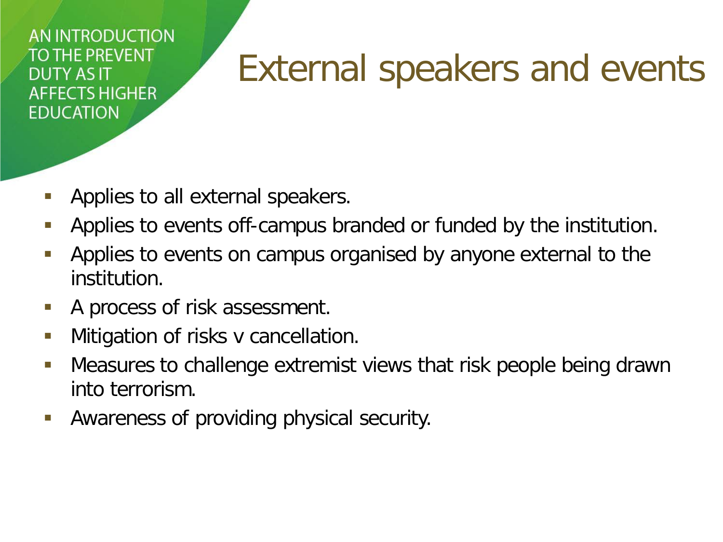## External speakers and events

- **Applies to all external speakers.**
- Applies to events off-campus branded or funded by the institution.
- **Applies to events on campus organised by anyone external to the** institution.
- A process of risk assessment.
- **Nitigation of risks v cancellation.**
- Measures to challenge extremist views that risk people being drawn into terrorism.
- Awareness of providing physical security.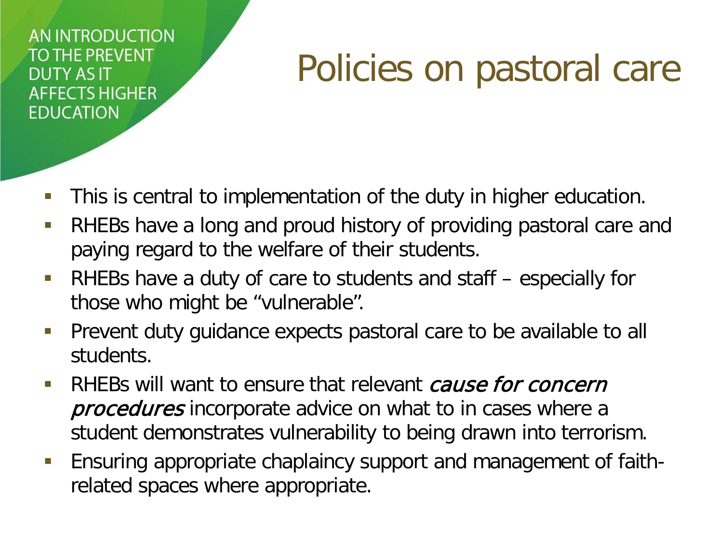## Policies on pastoral care

- **This is central to implementation of the duty in higher education.**
- **RHEBs have a long and proud history of providing pastoral care and** paying regard to the welfare of their students.
- RHEBs have a duty of care to students and staff especially for those who might be "vulnerable".
- **Prevent duty guidance expects pastoral care to be available to all** students.
- RHEBs will want to ensure that relevant *cause for concern* procedures incorporate advice on what to in cases where a student demonstrates vulnerability to being drawn into terrorism.
- **Ensuring appropriate chaplaincy support and management of faith**related spaces where appropriate.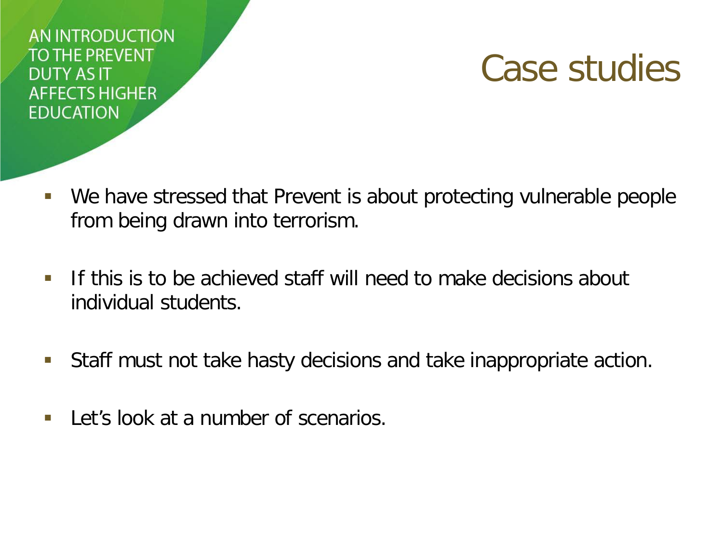#### Case studies

- We have stressed that Prevent is about protecting vulnerable people from being drawn into terrorism.
- If this is to be achieved staff will need to make decisions about individual students.
- Staff must not take hasty decisions and take inappropriate action.
- Let's look at a number of scenarios.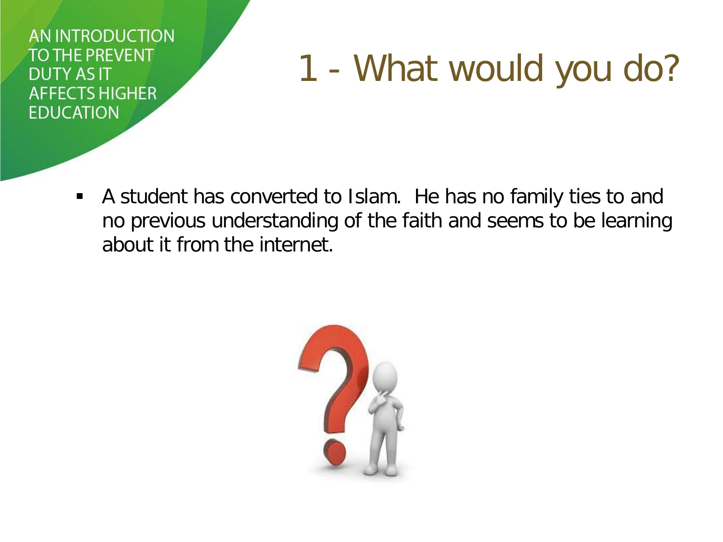# 1 - What would you do?

 A student has converted to Islam. He has no family ties to and no previous understanding of the faith and seems to be learning about it from the internet.

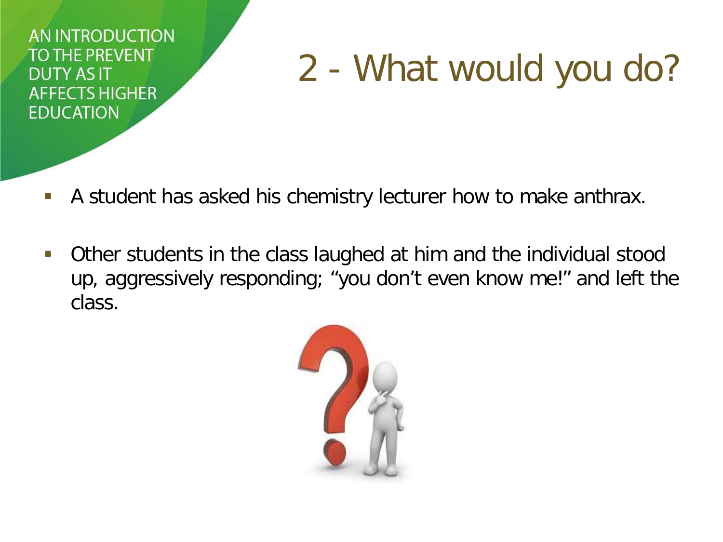# 2 - What would you do?

- A student has asked his chemistry lecturer how to make anthrax.
- Other students in the class laughed at him and the individual stood up, aggressively responding; "you don't even know me!" and left the class.

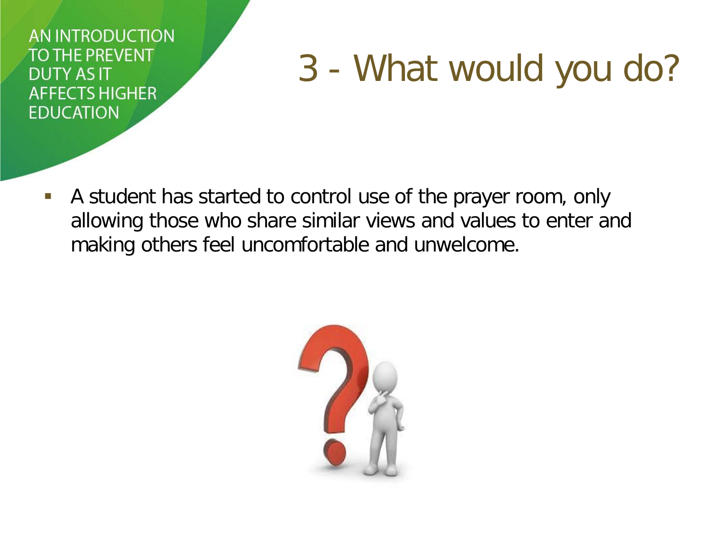# 3 - What would you do?

 A student has started to control use of the prayer room, only allowing those who share similar views and values to enter and making others feel uncomfortable and unwelcome.

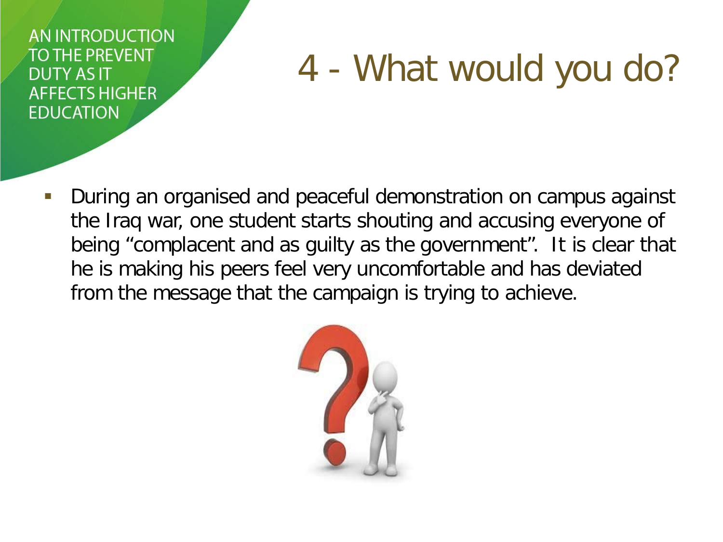# 4 - What would you do?

 During an organised and peaceful demonstration on campus against the Iraq war, one student starts shouting and accusing everyone of being "complacent and as guilty as the government". It is clear that he is making his peers feel very uncomfortable and has deviated from the message that the campaign is trying to achieve.

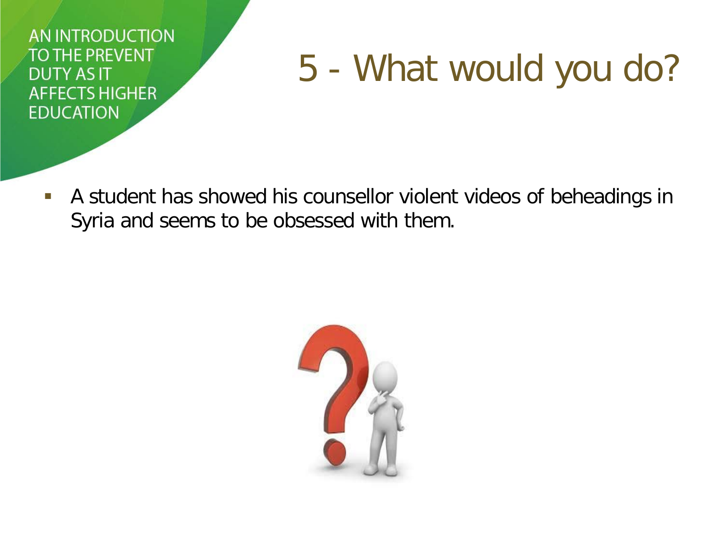## 5 - What would you do?

 A student has showed his counsellor violent videos of beheadings in Syria and seems to be obsessed with them.

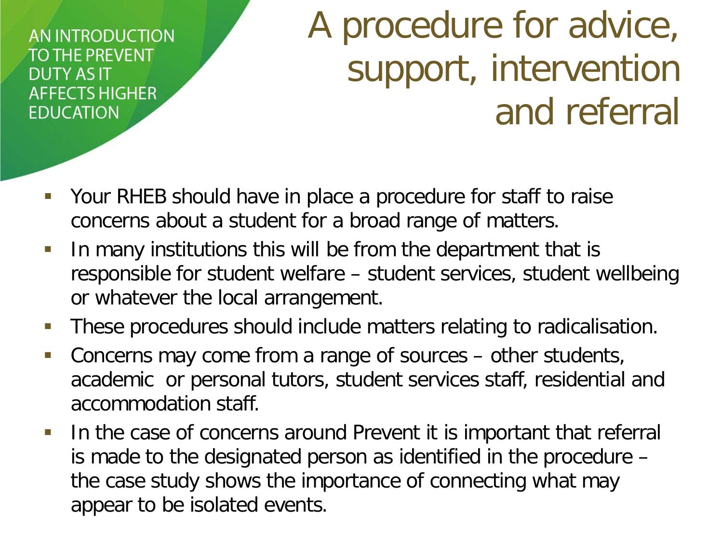## A procedure for advice, support, intervention and referral

- Your RHEB should have in place a procedure for staff to raise concerns about a student for a broad range of matters.
- In many institutions this will be from the department that is responsible for student welfare – student services, student wellbeing or whatever the local arrangement.
- These procedures should include matters relating to radicalisation.
- Concerns may come from a range of sources other students, academic or personal tutors, student services staff, residential and accommodation staff.
- In the case of concerns around Prevent it is important that referral is made to the designated person as identified in the procedure – the case study shows the importance of connecting what may appear to be isolated events.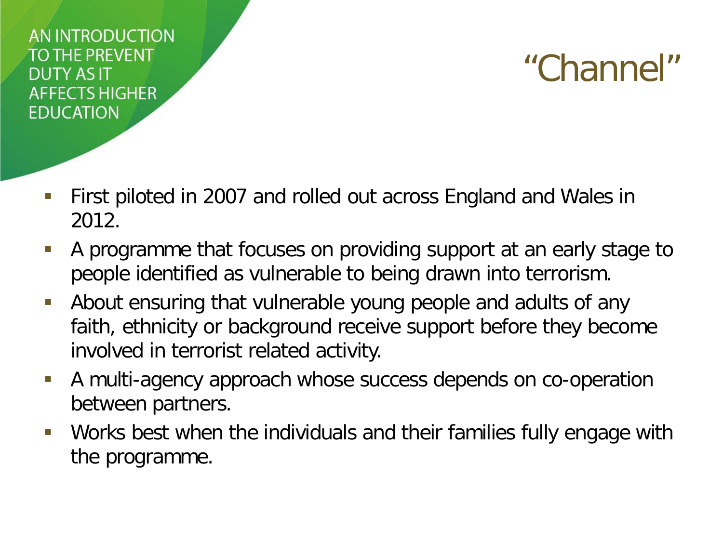#### "Channel"

- First piloted in 2007 and rolled out across England and Wales in 2012.
- A programme that focuses on providing support at an early stage to people identified as vulnerable to being drawn into terrorism.
- About ensuring that vulnerable young people and adults of any faith, ethnicity or background receive support before they become involved in terrorist related activity.
- A multi-agency approach whose success depends on co-operation between partners.
- Works best when the individuals and their families fully engage with the programme.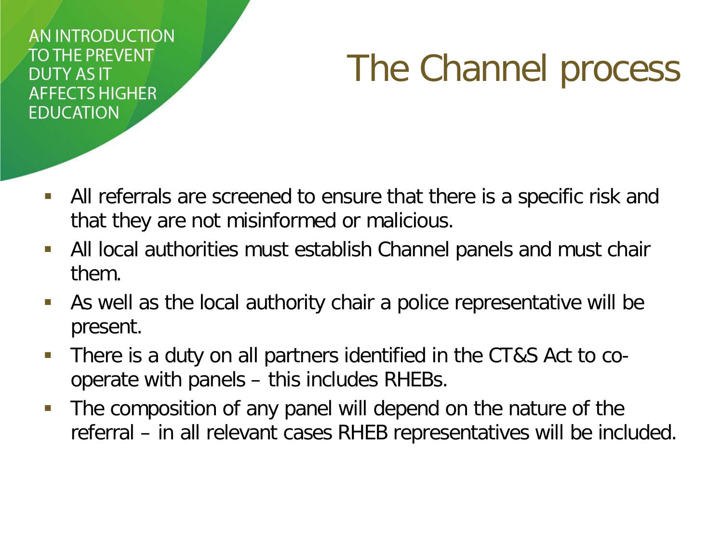## The Channel process

- All referrals are screened to ensure that there is a specific risk and that they are not misinformed or malicious.
- All local authorities must establish Channel panels and must chair them.
- As well as the local authority chair a police representative will be present.
- There is a duty on all partners identified in the CT&S Act to cooperate with panels – this includes RHEBs.
- The composition of any panel will depend on the nature of the referral – in all relevant cases RHEB representatives will be included.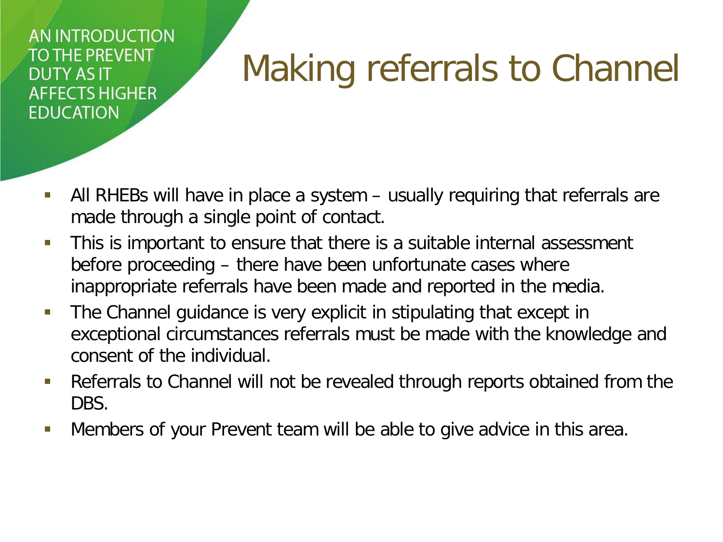## Making referrals to Channel

- All RHEBs will have in place a system usually requiring that referrals are made through a single point of contact.
- **This is important to ensure that there is a suitable internal assessment** before proceeding – there have been unfortunate cases where inappropriate referrals have been made and reported in the media.
- **The Channel guidance is very explicit in stipulating that except in** exceptional circumstances referrals must be made with the knowledge and consent of the individual.
- Referrals to Channel will not be revealed through reports obtained from the DBS.
- Members of your Prevent team will be able to give advice in this area.